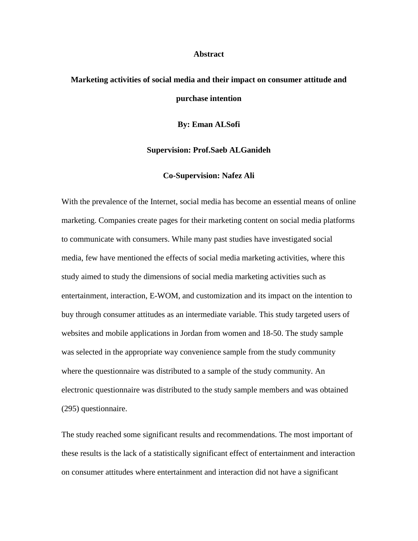## **Abstract**

## **Marketing activities of social media and their impact on consumer attitude and purchase intention**

**By: Eman ALSofi**

## **Supervision: Prof.Saeb ALGanideh**

## **Co-Supervision: Nafez Ali**

With the prevalence of the Internet, social media has become an essential means of online marketing. Companies create pages for their marketing content on social media platforms to communicate with consumers. While many past studies have investigated social media, few have mentioned the effects of social media marketing activities, where this study aimed to study the dimensions of social media marketing activities such as entertainment, interaction, E-WOM, and customization and its impact on the intention to buy through consumer attitudes as an intermediate variable. This study targeted users of websites and mobile applications in Jordan from women and 18-50. The study sample was selected in the appropriate way convenience sample from the study community where the questionnaire was distributed to a sample of the study community. An electronic questionnaire was distributed to the study sample members and was obtained (295) questionnaire.

The study reached some significant results and recommendations. The most important of these results is the lack of a statistically significant effect of entertainment and interaction on consumer attitudes where entertainment and interaction did not have a significant